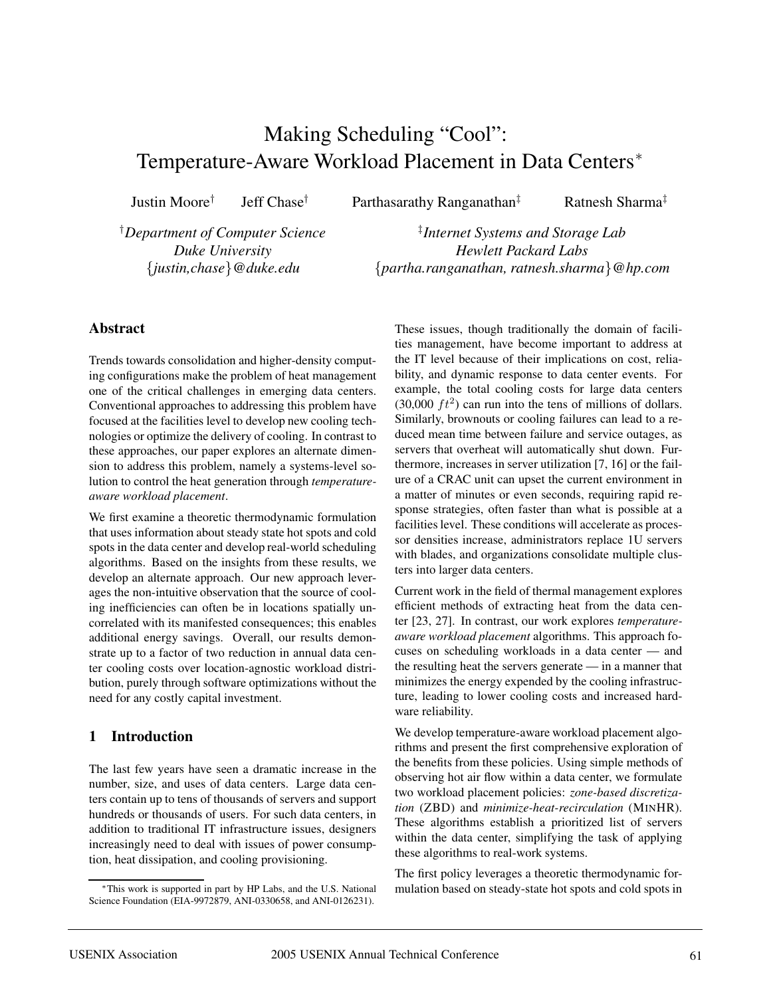# Making Scheduling "Cool": Temperature-Aware Workload Placement in Data Centers<sup>∗</sup>

Justin Moore<sup>†</sup> Jeff Chase<sup>†</sup> Parthasarathy Ranganathan<sup>‡</sup> Ratnesh Sharma<sup>‡</sup>

†*Department of Computer Science Duke University* {*justin,chase*}*@duke.edu*

‡ *Internet Systems and Storage Lab Hewlett Packard Labs* {*partha.ranganathan, ratnesh.sharma*}*@hp.com*

# **Abstract**

Trends towards consolidation and higher-density computing configurations make the problem of heat management one of the critical challenges in emerging data centers. Conventional approaches to addressing this problem have focused at the facilities level to develop new cooling technologies or optimize the delivery of cooling. In contrast to these approaches, our paper explores an alternate dimension to address this problem, namely a systems-level solution to control the heat generation through *temperatureaware workload placement*.

We first examine a theoretic thermodynamic formulation that uses information about steady state hot spots and cold spots in the data center and develop real-world scheduling algorithms. Based on the insights from these results, we develop an alternate approach. Our new approach leverages the non-intuitive observation that the source of cooling inefficiencies can often be in locations spatially uncorrelated with its manifested consequences; this enables additional energy savings. Overall, our results demonstrate up to a factor of two reduction in annual data center cooling costs over location-agnostic workload distribution, purely through software optimizations without the need for any costly capital investment.

# **1 Introduction**

The last few years have seen a dramatic increase in the number, size, and uses of data centers. Large data centers contain up to tens of thousands of servers and support hundreds or thousands of users. For such data centers, in addition to traditional IT infrastructure issues, designers increasingly need to deal with issues of power consumption, heat dissipation, and cooling provisioning.

These issues, though traditionally the domain of facilities management, have become important to address at the IT level because of their implications on cost, reliability, and dynamic response to data center events. For example, the total cooling costs for large data centers  $(30,000 \, ft^2)$  can run into the tens of millions of dollars. Similarly, brownouts or cooling failures can lead to a reduced mean time between failure and service outages, as servers that overheat will automatically shut down. Furthermore, increases in server utilization [7, 16] or the failure of a CRAC unit can upset the current environment in a matter of minutes or even seconds, requiring rapid response strategies, often faster than what is possible at a facilities level. These conditions will accelerate as processor densities increase, administrators replace 1U servers with blades, and organizations consolidate multiple clusters into larger data centers.

Current work in the field of thermal management explores efficient methods of extracting heat from the data center [23, 27]. In contrast, our work explores *temperatureaware workload placement* algorithms. This approach focuses on scheduling workloads in a data center — and the resulting heat the servers generate — in a manner that minimizes the energy expended by the cooling infrastructure, leading to lower cooling costs and increased hardware reliability.

We develop temperature-aware workload placement algorithms and present the first comprehensive exploration of the benefits from these policies. Using simple methods of observing hot air flow within a data center, we formulate two workload placement policies: *zone-based discretization* (ZBD) and *minimize-heat-recirculation* (MINHR). These algorithms establish a prioritized list of servers within the data center, simplifying the task of applying these algorithms to real-work systems.

The first policy leverages a theoretic thermodynamic formulation based on steady-state hot spots and cold spots in

<sup>∗</sup>This work is supported in part by HP Labs, and the U.S. National Science Foundation (EIA-9972879, ANI-0330658, and ANI-0126231).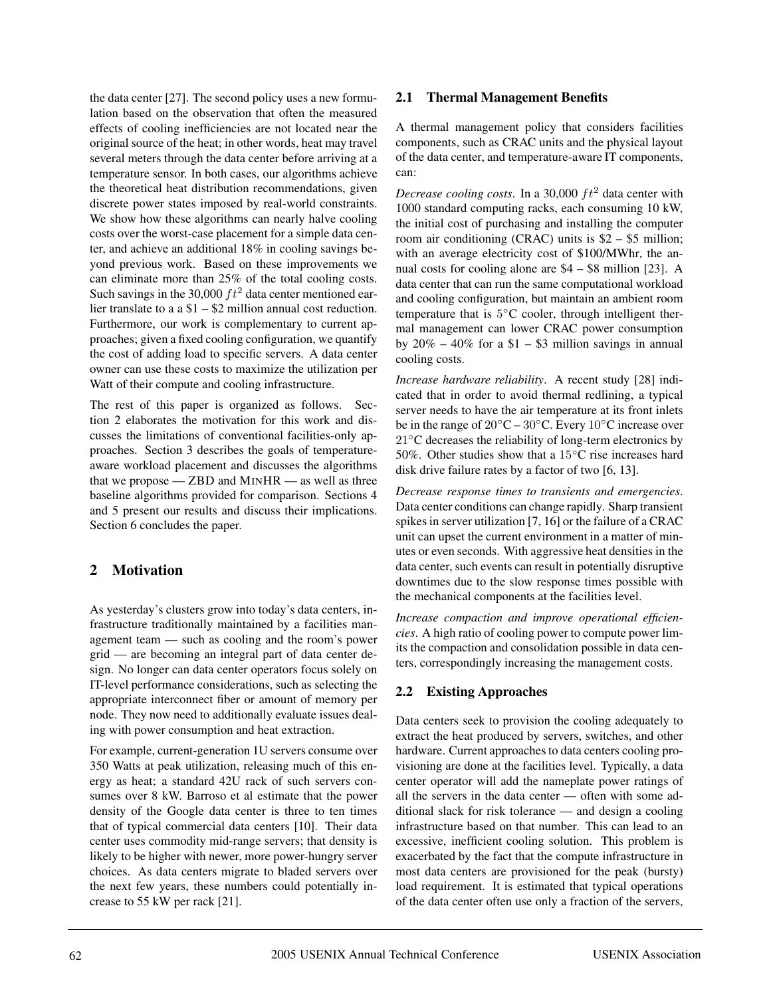the data center [27]. The second policy uses a new formulation based on the observation that often the measured effects of cooling inefficiencies are not located near the original source of the heat; in other words, heat may travel several meters through the data center before arriving at a temperature sensor. In both cases, our algorithms achieve the theoretical heat distribution recommendations, given discrete power states imposed by real-world constraints. We show how these algorithms can nearly halve cooling costs over the worst-case placement for a simple data center, and achieve an additional 18% in cooling savings beyond previous work. Based on these improvements we can eliminate more than 25% of the total cooling costs. Such savings in the 30,000  $ft^2$  data center mentioned earlier translate to a a \$1 – \$2 million annual cost reduction. Furthermore, our work is complementary to current approaches; given a fixed cooling configuration, we quantify the cost of adding load to specific servers. A data center owner can use these costs to maximize the utilization per Watt of their compute and cooling infrastructure.

The rest of this paper is organized as follows. Section 2 elaborates the motivation for this work and discusses the limitations of conventional facilities-only approaches. Section 3 describes the goals of temperatureaware workload placement and discusses the algorithms that we propose  $-$  ZBD and MINHR  $-$  as well as three baseline algorithms provided for comparison. Sections 4 and 5 present our results and discuss their implications. Section 6 concludes the paper.

# **2 Motivation**

As yesterday's clusters grow into today's data centers, infrastructure traditionally maintained by a facilities management team — such as cooling and the room's power grid — are becoming an integral part of data center design. No longer can data center operators focus solely on IT-level performance considerations, such as selecting the appropriate interconnect fiber or amount of memory per node. They now need to additionally evaluate issues dealing with power consumption and heat extraction.

For example, current-generation 1U servers consume over 350 Watts at peak utilization, releasing much of this energy as heat; a standard 42U rack of such servers consumes over 8 kW. Barroso et al estimate that the power density of the Google data center is three to ten times that of typical commercial data centers [10]. Their data center uses commodity mid-range servers; that density is likely to be higher with newer, more power-hungry server choices. As data centers migrate to bladed servers over the next few years, these numbers could potentially increase to 55 kW per rack [21].

# **2.1 Thermal Management Benefits**

A thermal management policy that considers facilities components, such as CRAC units and the physical layout of the data center, and temperature-aware IT components, can:

*Decrease cooling costs.* In a 30,000  $ft^2$  data center with 1000 standard computing racks, each consuming 10 kW, the initial cost of purchasing and installing the computer room air conditioning (CRAC) units is \$2 – \$5 million; with an average electricity cost of \$100/MWhr, the annual costs for cooling alone are \$4 – \$8 million [23]. A data center that can run the same computational workload and cooling configuration, but maintain an ambient room temperature that is 5◦C cooler, through intelligent thermal management can lower CRAC power consumption by  $20\% - 40\%$  for a \$1 – \$3 million savings in annual cooling costs.

*Increase hardware reliability*. A recent study [28] indicated that in order to avoid thermal redlining, a typical server needs to have the air temperature at its front inlets be in the range of  $20\degree C - 30\degree C$ . Every  $10\degree C$  increase over 21<sup>°</sup>C decreases the reliability of long-term electronics by 50%. Other studies show that a 15℃ rise increases hard disk drive failure rates by a factor of two [6, 13].

*Decrease response times to transients and emergencies*. Data center conditions can change rapidly. Sharp transient spikes in server utilization [7, 16] or the failure of a CRAC unit can upset the current environment in a matter of minutes or even seconds. With aggressive heat densities in the data center, such events can result in potentially disruptive downtimes due to the slow response times possible with the mechanical components at the facilities level.

*Increase compaction and improve operational efficiencies*. A high ratio of cooling power to compute power limits the compaction and consolidation possible in data centers, correspondingly increasing the management costs.

# **2.2 Existing Approaches**

Data centers seek to provision the cooling adequately to extract the heat produced by servers, switches, and other hardware. Current approaches to data centers cooling provisioning are done at the facilities level. Typically, a data center operator will add the nameplate power ratings of all the servers in the data center — often with some additional slack for risk tolerance — and design a cooling infrastructure based on that number. This can lead to an excessive, inefficient cooling solution. This problem is exacerbated by the fact that the compute infrastructure in most data centers are provisioned for the peak (bursty) load requirement. It is estimated that typical operations of the data center often use only a fraction of the servers,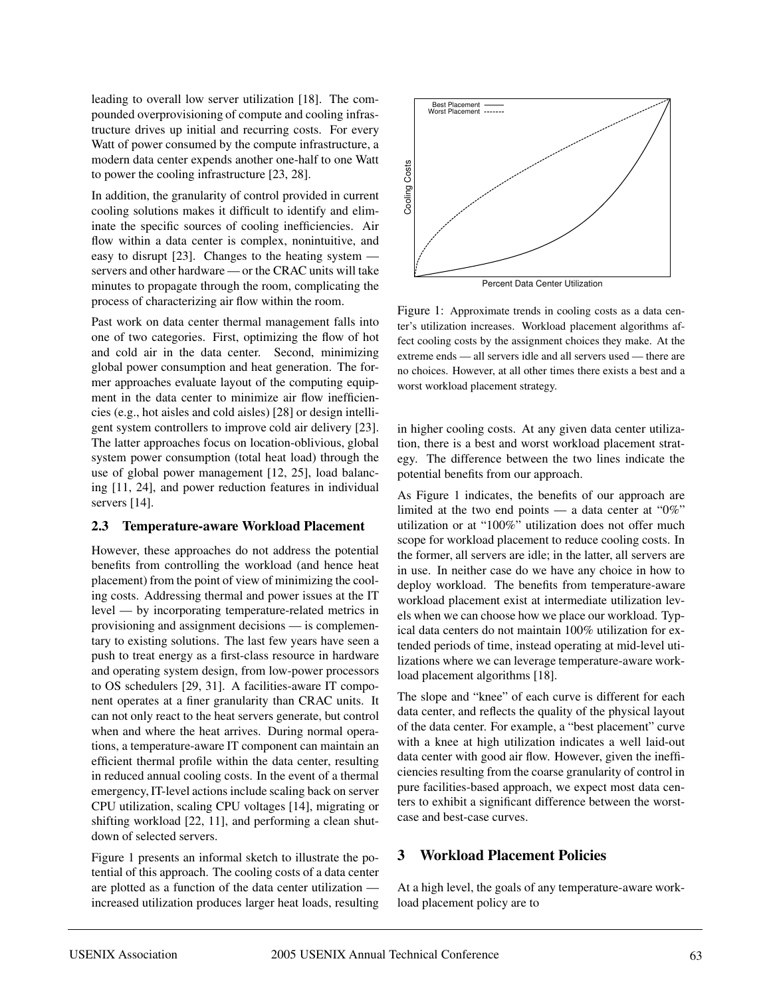leading to overall low server utilization [18]. The compounded overprovisioning of compute and cooling infrastructure drives up initial and recurring costs. For every Watt of power consumed by the compute infrastructure, a modern data center expends another one-half to one Watt to power the cooling infrastructure [23, 28].

In addition, the granularity of control provided in current cooling solutions makes it difficult to identify and eliminate the specific sources of cooling inefficiencies. Air flow within a data center is complex, nonintuitive, and easy to disrupt [23]. Changes to the heating system servers and other hardware — or the CRAC units will take minutes to propagate through the room, complicating the process of characterizing air flow within the room.

Past work on data center thermal management falls into one of two categories. First, optimizing the flow of hot and cold air in the data center. Second, minimizing global power consumption and heat generation. The former approaches evaluate layout of the computing equipment in the data center to minimize air flow inefficiencies (e.g., hot aisles and cold aisles) [28] or design intelligent system controllers to improve cold air delivery [23]. The latter approaches focus on location-oblivious, global system power consumption (total heat load) through the use of global power management [12, 25], load balancing [11, 24], and power reduction features in individual servers [14].

### **2.3 Temperature-aware Workload Placement**

However, these approaches do not address the potential benefits from controlling the workload (and hence heat placement) from the point of view of minimizing the cooling costs. Addressing thermal and power issues at the IT level — by incorporating temperature-related metrics in provisioning and assignment decisions — is complementary to existing solutions. The last few years have seen a push to treat energy as a first-class resource in hardware and operating system design, from low-power processors to OS schedulers [29, 31]. A facilities-aware IT component operates at a finer granularity than CRAC units. It can not only react to the heat servers generate, but control when and where the heat arrives. During normal operations, a temperature-aware IT component can maintain an efficient thermal profile within the data center, resulting in reduced annual cooling costs. In the event of a thermal emergency, IT-level actions include scaling back on server CPU utilization, scaling CPU voltages [14], migrating or shifting workload [22, 11], and performing a clean shutdown of selected servers.

Figure 1 presents an informal sketch to illustrate the potential of this approach. The cooling costs of a data center are plotted as a function of the data center utilization increased utilization produces larger heat loads, resulting



Percent Data Center Utilization

Figure 1: Approximate trends in cooling costs as a data center's utilization increases. Workload placement algorithms affect cooling costs by the assignment choices they make. At the extreme ends — all servers idle and all servers used — there are no choices. However, at all other times there exists a best and a worst workload placement strategy.

in higher cooling costs. At any given data center utilization, there is a best and worst workload placement strategy. The difference between the two lines indicate the potential benefits from our approach.

As Figure 1 indicates, the benefits of our approach are limited at the two end points — a data center at " $0\%$ " utilization or at "100%" utilization does not offer much scope for workload placement to reduce cooling costs. In the former, all servers are idle; in the latter, all servers are in use. In neither case do we have any choice in how to deploy workload. The benefits from temperature-aware workload placement exist at intermediate utilization levels when we can choose how we place our workload. Typical data centers do not maintain 100% utilization for extended periods of time, instead operating at mid-level utilizations where we can leverage temperature-aware workload placement algorithms [18].

The slope and "knee" of each curve is different for each data center, and reflects the quality of the physical layout of the data center. For example, a "best placement" curve with a knee at high utilization indicates a well laid-out data center with good air flow. However, given the inefficiencies resulting from the coarse granularity of control in pure facilities-based approach, we expect most data centers to exhibit a significant difference between the worstcase and best-case curves.

# **3 Workload Placement Policies**

At a high level, the goals of any temperature-aware workload placement policy are to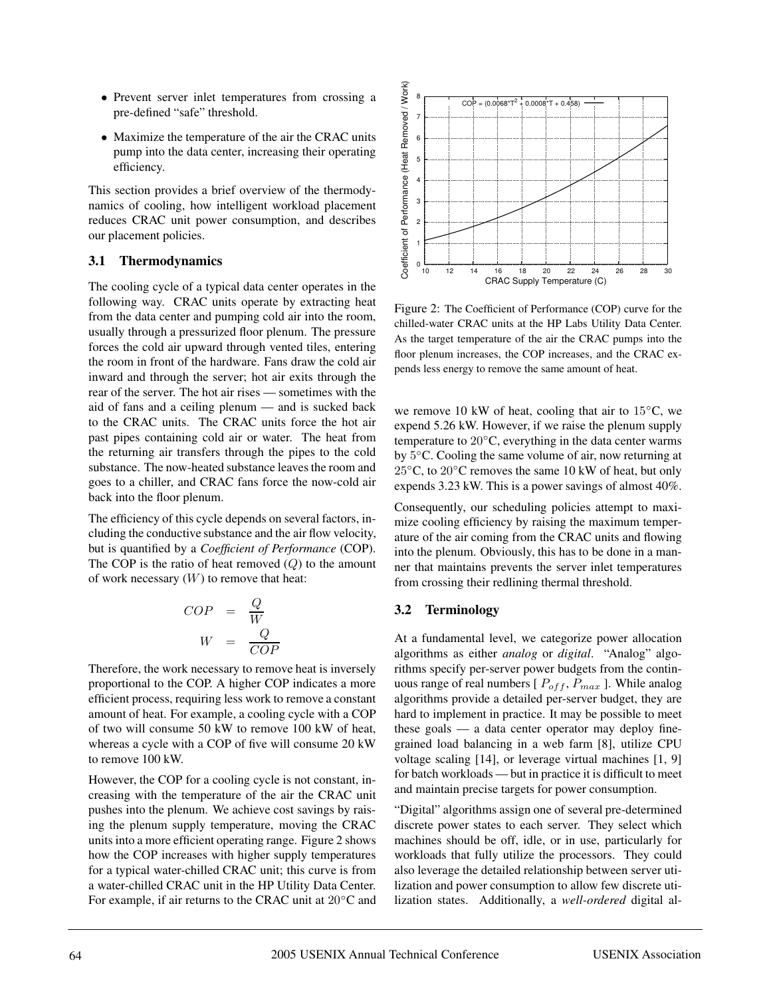- Prevent server inlet temperatures from crossing a pre-defined "safe" threshold.
- Maximize the temperature of the air the CRAC units pump into the data center, increasing their operating efficiency.

This section provides a brief overview of the thermodynamics of cooling, how intelligent workload placement reduces CRAC unit power consumption, and describes our placement policies.

# **3.1 Thermodynamics**

The cooling cycle of a typical data center operates in the following way. CRAC units operate by extracting heat from the data center and pumping cold air into the room, usually through a pressurized floor plenum. The pressure forces the cold air upward through vented tiles, entering the room in front of the hardware. Fans draw the cold air inward and through the server; hot air exits through the rear of the server. The hot air rises — sometimes with the aid of fans and a ceiling plenum — and is sucked back to the CRAC units. The CRAC units force the hot air past pipes containing cold air or water. The heat from the returning air transfers through the pipes to the cold substance. The now-heated substance leaves the room and goes to a chiller, and CRAC fans force the now-cold air back into the floor plenum.

The efficiency of this cycle depends on several factors, including the conductive substance and the air flow velocity, but is quantified by a *Coefficient of Performance* (COP). The COP is the ratio of heat removed  $(Q)$  to the amount of work necessary  $(W)$  to remove that heat:

$$
COP = \frac{Q}{W}
$$

$$
W = \frac{Q}{COP}
$$

Therefore, the work necessary to remove heat is inversely proportional to the COP. A higher COP indicates a more efficient process, requiring less work to remove a constant amount of heat. For example, a cooling cycle with a COP of two will consume 50 kW to remove 100 kW of heat, whereas a cycle with a COP of five will consume 20 kW to remove 100 kW.

However, the COP for a cooling cycle is not constant, increasing with the temperature of the air the CRAC unit pushes into the plenum. We achieve cost savings by raising the plenum supply temperature, moving the CRAC units into a more efficient operating range. Figure 2 shows how the COP increases with higher supply temperatures for a typical water-chilled CRAC unit; this curve is from a water-chilled CRAC unit in the HP Utility Data Center. For example, if air returns to the CRAC unit at 20◦C and



Figure 2: The Coefficient of Performance (COP) curve for the chilled-water CRAC units at the HP Labs Utility Data Center. As the target temperature of the air the CRAC pumps into the floor plenum increases, the COP increases, and the CRAC expends less energy to remove the same amount of heat.

we remove 10 kW of heat, cooling that air to  $15\degree C$ , we expend 5.26 kW. However, if we raise the plenum supply temperature to 20◦C, everything in the data center warms by 5◦C. Cooling the same volume of air, now returning at 25◦C, to 20◦C removes the same 10 kW of heat, but only expends 3.23 kW. This is a power savings of almost 40%.

Consequently, our scheduling policies attempt to maximize cooling efficiency by raising the maximum temperature of the air coming from the CRAC units and flowing into the plenum. Obviously, this has to be done in a manner that maintains prevents the server inlet temperatures from crossing their redlining thermal threshold.

# **3.2 Terminology**

At a fundamental level, we categorize power allocation algorithms as either *analog* or *digital*. "Analog" algorithms specify per-server power budgets from the continuous range of real numbers  $[P_{off}, P_{max}]$ . While analog algorithms provide a detailed per-server budget, they are hard to implement in practice. It may be possible to meet these goals — a data center operator may deploy finegrained load balancing in a web farm [8], utilize CPU voltage scaling [14], or leverage virtual machines [1, 9] for batch workloads — but in practice it is difficult to meet and maintain precise targets for power consumption.

"Digital" algorithms assign one of several pre-determined discrete power states to each server. They select which machines should be off, idle, or in use, particularly for workloads that fully utilize the processors. They could also leverage the detailed relationship between server utilization and power consumption to allow few discrete utilization states. Additionally, a *well-ordered* digital al-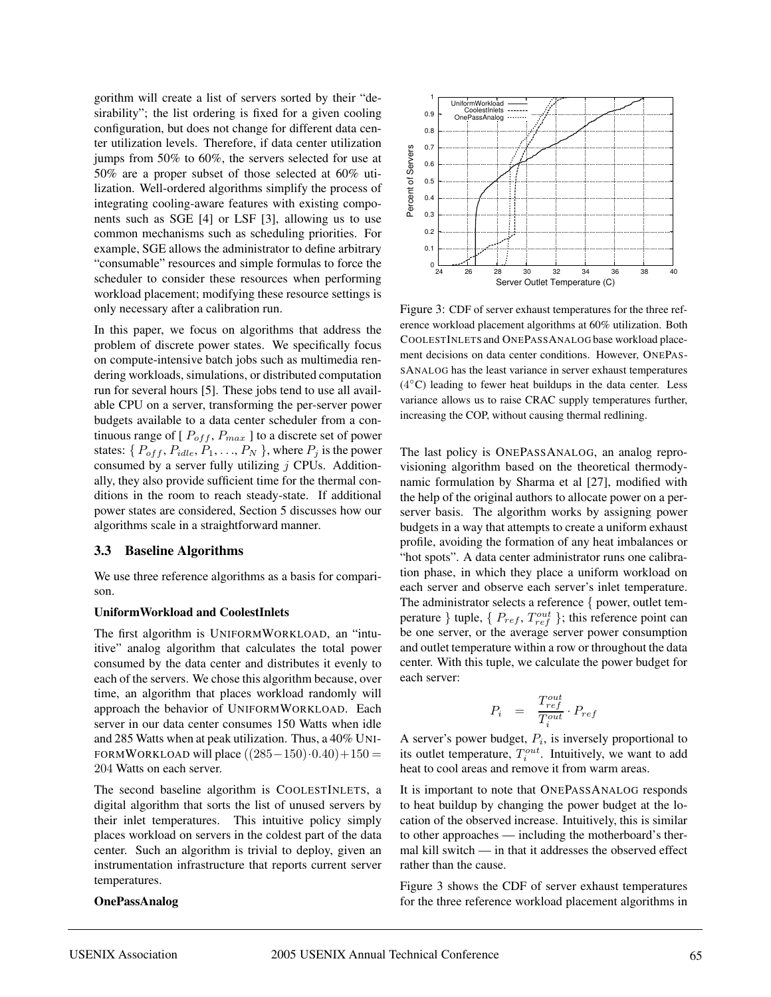gorithm will create a list of servers sorted by their "desirability"; the list ordering is fixed for a given cooling configuration, but does not change for different data center utilization levels. Therefore, if data center utilization jumps from 50% to 60%, the servers selected for use at 50% are a proper subset of those selected at 60% utilization. Well-ordered algorithms simplify the process of integrating cooling-aware features with existing components such as SGE [4] or LSF [3], allowing us to use common mechanisms such as scheduling priorities. For example, SGE allows the administrator to define arbitrary "consumable" resources and simple formulas to force the scheduler to consider these resources when performing workload placement; modifying these resource settings is only necessary after a calibration run.

In this paper, we focus on algorithms that address the problem of discrete power states. We specifically focus on compute-intensive batch jobs such as multimedia rendering workloads, simulations, or distributed computation run for several hours [5]. These jobs tend to use all available CPU on a server, transforming the per-server power budgets available to a data center scheduler from a continuous range of  $[P_{off}, P_{max}]$  to a discrete set of power states: { $P_{off}, P_{idle}, P_1, \ldots, P_N$  }, where  $P_j$  is the power consumed by a server fully utilizing  $j$  CPUs. Additionally, they also provide sufficient time for the thermal conditions in the room to reach steady-state. If additional power states are considered, Section 5 discusses how our algorithms scale in a straightforward manner.

#### **3.3 Baseline Algorithms**

We use three reference algorithms as a basis for comparison.

#### **UniformWorkload and CoolestInlets**

The first algorithm is UNIFORMWORKLOAD, an "intuitive" analog algorithm that calculates the total power consumed by the data center and distributes it evenly to each of the servers. We chose this algorithm because, over time, an algorithm that places workload randomly will approach the behavior of UNIFORMWORKLOAD. Each server in our data center consumes 150 Watts when idle and 285 Watts when at peak utilization. Thus, a 40% UNI-FORMWORKLOAD will place  $((285-150)\cdot 0.40) + 150 =$ 204 Watts on each server.

The second baseline algorithm is COOLESTINLETS, a digital algorithm that sorts the list of unused servers by their inlet temperatures. This intuitive policy simply places workload on servers in the coldest part of the data center. Such an algorithm is trivial to deploy, given an instrumentation infrastructure that reports current server temperatures.

#### **OnePassAnalog**



Figure 3: CDF of server exhaust temperatures for the three reference workload placement algorithms at 60% utilization. Both COOLESTINLETS and ONEPASSANALOG base workload placement decisions on data center conditions. However, ONEPAS-SANALOG has the least variance in server exhaust temperatures  $(4°C)$  leading to fewer heat buildups in the data center. Less variance allows us to raise CRAC supply temperatures further, increasing the COP, without causing thermal redlining.

The last policy is ONEPASSANALOG, an analog reprovisioning algorithm based on the theoretical thermodynamic formulation by Sharma et al [27], modified with the help of the original authors to allocate power on a perserver basis. The algorithm works by assigning power budgets in a way that attempts to create a uniform exhaust profile, avoiding the formation of any heat imbalances or "hot spots". A data center administrator runs one calibration phase, in which they place a uniform workload on each server and observe each server's inlet temperature. The administrator selects a reference { power, outlet temperature } tuple, {  $P_{ref}$ ,  $T_{ref}^{out}$  }; this reference point can be one server, or the average server power consumption and outlet temperature within a row or throughout the data center. With this tuple, we calculate the power budget for each server:

$$
P_i = \frac{T_{ref}^{out}}{T_i^{out}} \cdot P_{ref}
$$

A server's power budget,  $P_i$ , is inversely proportional to its outlet temperature,  $T_i^{out}$ . Intuitively, we want to add heat to cool areas and remove it from warm areas.

It is important to note that ONEPASSANALOG responds to heat buildup by changing the power budget at the location of the observed increase. Intuitively, this is similar to other approaches — including the motherboard's thermal kill switch — in that it addresses the observed effect rather than the cause.

Figure 3 shows the CDF of server exhaust temperatures for the three reference workload placement algorithms in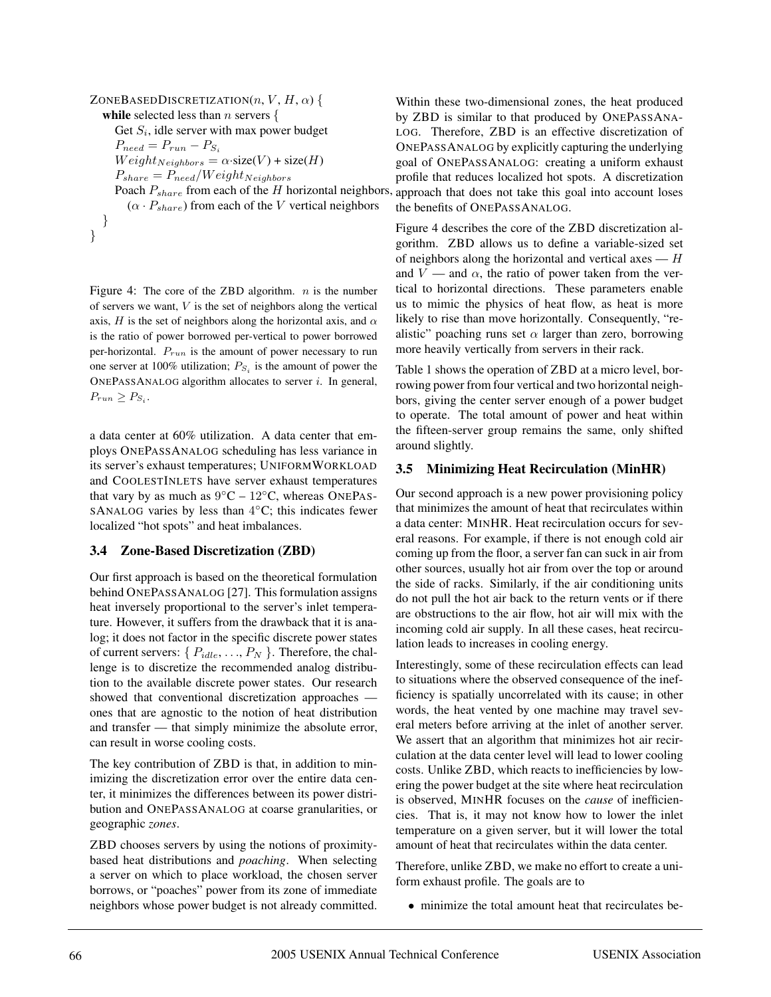ZONEBASEDDISCRETIZATION $(n, V, H, \alpha)$ **while** selected less than *n* servers  $\{$ Get  $S_i$ , idle server with max power budget  $P_{need} = P_{run} - P_{S_i}$  $Weight_{Neighbors} = \alpha \cdot size(V) + size(H)$  $P_{share} = P_{need}/Weight_{Neighbors}$  $(\alpha \cdot P_{share})$  from each of the V vertical neighbors } }

Figure 4: The core of the ZBD algorithm.  $n$  is the number of servers we want,  $V$  is the set of neighbors along the vertical axis, H is the set of neighbors along the horizontal axis, and  $\alpha$ is the ratio of power borrowed per-vertical to power borrowed per-horizontal.  $P_{run}$  is the amount of power necessary to run one server at 100% utilization;  $P_{S_i}$  is the amount of power the ONEPASSANALOG algorithm allocates to server  $i$ . In general,  $P_{run} \geq P_{S_i}$ .

a data center at 60% utilization. A data center that employs ONEPASSANALOG scheduling has less variance in its server's exhaust temperatures; UNIFORMWORKLOAD and COOLESTINLETS have server exhaust temperatures that vary by as much as  $9\degree C - 12\degree C$ , whereas ONEPAS-SANALOG varies by less than  $4°C$ ; this indicates fewer localized "hot spots" and heat imbalances.

### **3.4 Zone-Based Discretization (ZBD)**

Our first approach is based on the theoretical formulation behind ONEPASSANALOG [27]. This formulation assigns heat inversely proportional to the server's inlet temperature. However, it suffers from the drawback that it is analog; it does not factor in the specific discrete power states of current servers:  $\{P_{idle}, \ldots, P_N\}$ . Therefore, the challenge is to discretize the recommended analog distribution to the available discrete power states. Our research showed that conventional discretization approaches ones that are agnostic to the notion of heat distribution and transfer — that simply minimize the absolute error, can result in worse cooling costs.

The key contribution of ZBD is that, in addition to minimizing the discretization error over the entire data center, it minimizes the differences between its power distribution and ONEPASSANALOG at coarse granularities, or geographic *zones*.

ZBD chooses servers by using the notions of proximitybased heat distributions and *poaching*. When selecting a server on which to place workload, the chosen server borrows, or "poaches" power from its zone of immediate neighbors whose power budget is not already committed.

Poach  $P_{share}$  from each of the H horizontal neighbors, approach that does not take this goal into account loses Within these two-dimensional zones, the heat produced by ZBD is similar to that produced by ONEPASSANA-LOG. Therefore, ZBD is an effective discretization of ONEPASSANALOG by explicitly capturing the underlying goal of ONEPASSANALOG: creating a uniform exhaust profile that reduces localized hot spots. A discretization the benefits of ONEPASSANALOG.

> Figure 4 describes the core of the ZBD discretization algorithm. ZBD allows us to define a variable-sized set of neighbors along the horizontal and vertical axes  $-H$ and  $V$  — and  $\alpha$ , the ratio of power taken from the vertical to horizontal directions. These parameters enable us to mimic the physics of heat flow, as heat is more likely to rise than move horizontally. Consequently, "realistic" poaching runs set  $\alpha$  larger than zero, borrowing more heavily vertically from servers in their rack.

> Table 1 shows the operation of ZBD at a micro level, borrowing power from four vertical and two horizontal neighbors, giving the center server enough of a power budget to operate. The total amount of power and heat within the fifteen-server group remains the same, only shifted around slightly.

# **3.5 Minimizing Heat Recirculation (MinHR)**

Our second approach is a new power provisioning policy that minimizes the amount of heat that recirculates within a data center: MINHR. Heat recirculation occurs for several reasons. For example, if there is not enough cold air coming up from the floor, a server fan can suck in air from other sources, usually hot air from over the top or around the side of racks. Similarly, if the air conditioning units do not pull the hot air back to the return vents or if there are obstructions to the air flow, hot air will mix with the incoming cold air supply. In all these cases, heat recirculation leads to increases in cooling energy.

Interestingly, some of these recirculation effects can lead to situations where the observed consequence of the inefficiency is spatially uncorrelated with its cause; in other words, the heat vented by one machine may travel several meters before arriving at the inlet of another server. We assert that an algorithm that minimizes hot air recirculation at the data center level will lead to lower cooling costs. Unlike ZBD, which reacts to inefficiencies by lowering the power budget at the site where heat recirculation is observed, MINHR focuses on the *cause* of inefficiencies. That is, it may not know how to lower the inlet temperature on a given server, but it will lower the total amount of heat that recirculates within the data center.

Therefore, unlike ZBD, we make no effort to create a uniform exhaust profile. The goals are to

• minimize the total amount heat that recirculates be-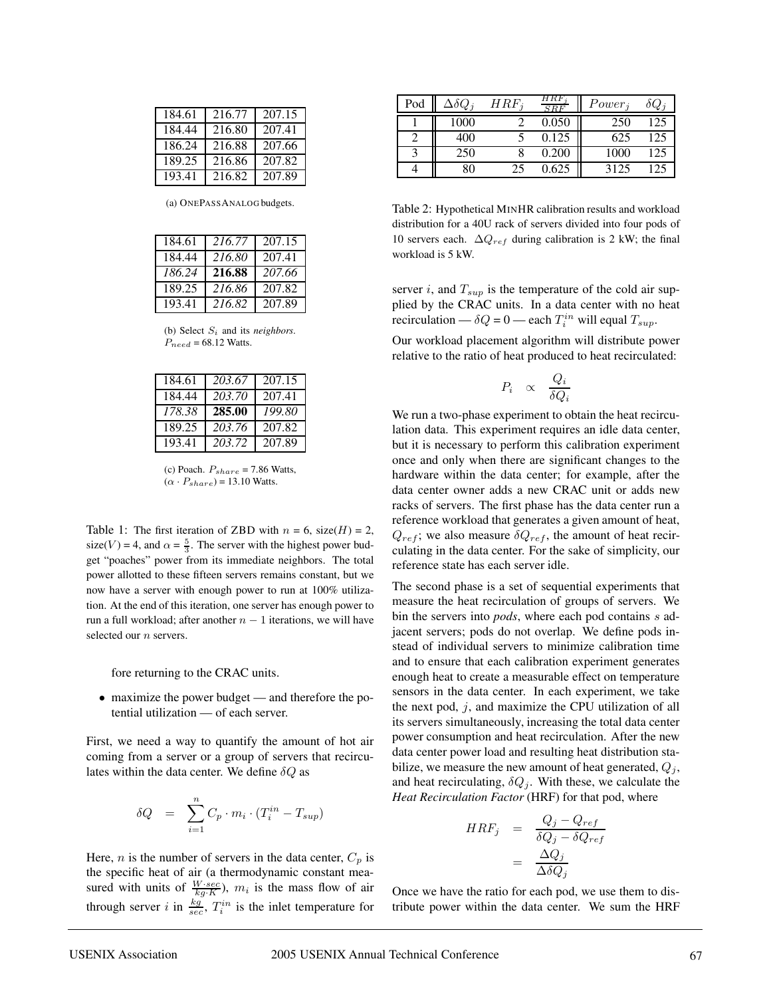| 184.61 | 216.77 | 207.15 |
|--------|--------|--------|
| 184.44 | 216.80 | 207.41 |
| 186.24 | 216.88 | 207.66 |
| 189.25 | 216.86 | 207.82 |
| 193.41 | 216.82 | 207.89 |

(a) ONEPASSANALOG budgets.

| 184.61 | 216.77 | 207.15 |
|--------|--------|--------|
| 184.44 | 216.80 | 207.41 |
| 186.24 | 216.88 | 207.66 |
| 189.25 | 216.86 | 207.82 |
| 193.41 | 216.82 | 207.89 |

(b) Select S<sup>i</sup> and its *neighbors*.  $P_{need} = 68.12$  Watts.

| 184.61 | 203.67 | 207.15 |
|--------|--------|--------|
| 184.44 | 203.70 | 207.41 |
| 178.38 | 285.00 | 199.80 |
| 189.25 | 203.76 | 207.82 |
| 193.41 | 203.72 | 207.89 |

(c) Poach.  $P_{share} = 7.86$  Watts,  $(\alpha \cdot P_{share}) = 13.10$  Watts.

Table 1: The first iteration of ZBD with  $n = 6$ , size(H) = 2, size(V) = 4, and  $\alpha = \frac{5}{3}$ . The server with the highest power budget "poaches" power from its immediate neighbors. The total power allotted to these fifteen servers remains constant, but we now have a server with enough power to run at 100% utilization. At the end of this iteration, one server has enough power to run a full workload; after another  $n - 1$  iterations, we will have selected our  $n$  servers.

fore returning to the CRAC units.

• maximize the power budget — and therefore the potential utilization — of each server.

First, we need a way to quantify the amount of hot air coming from a server or a group of servers that recirculates within the data center. We define  $\delta Q$  as

$$
\delta Q = \sum_{i=1}^{n} C_p \cdot m_i \cdot (T_i^{in} - T_{sup})
$$

Here, *n* is the number of servers in the data center,  $C_p$  is the specific heat of air (a thermodynamic constant measured with units of  $\frac{W\cdot sec}{kg\cdot K}$ ,  $m_i$  is the mass flow of air through server i in  $\frac{kg}{sec}$ ,  $T_i^{in}$  is the inlet temperature for

| Pod | $\Delta \delta Q_{\,i}$ | $IRF_{\it i}$ |       | $Power_j$ | $\sigma Q_1$ |
|-----|-------------------------|---------------|-------|-----------|--------------|
|     | 1000                    |               | 0.050 | 250       |              |
|     | 400                     |               | 0.125 | 625       |              |
| 2   | 250                     |               | 0.200 | 1000      |              |
|     | R۵                      | 25            | 0.625 | 3125      |              |

Table 2: Hypothetical MINHR calibration results and workload distribution for a 40U rack of servers divided into four pods of 10 servers each.  $\Delta Q_{ref}$  during calibration is 2 kW; the final workload is 5 kW.

server i, and  $T_{sup}$  is the temperature of the cold air supplied by the CRAC units. In a data center with no heat recirculation —  $\delta Q = 0$  — each  $T_i^{in}$  will equal  $T_{sup}$ .

Our workload placement algorithm will distribute power relative to the ratio of heat produced to heat recirculated:

$$
P_i \quad \propto \quad \frac{Q_i}{\delta Q_i}
$$

We run a two-phase experiment to obtain the heat recirculation data. This experiment requires an idle data center, but it is necessary to perform this calibration experiment once and only when there are significant changes to the hardware within the data center; for example, after the data center owner adds a new CRAC unit or adds new racks of servers. The first phase has the data center run a reference workload that generates a given amount of heat,  $Q_{ref}$ ; we also measure  $\delta Q_{ref}$ , the amount of heat recirculating in the data center. For the sake of simplicity, our reference state has each server idle.

The second phase is a set of sequential experiments that measure the heat recirculation of groups of servers. We bin the servers into *pods*, where each pod contains s adjacent servers; pods do not overlap. We define pods instead of individual servers to minimize calibration time and to ensure that each calibration experiment generates enough heat to create a measurable effect on temperature sensors in the data center. In each experiment, we take the next pod,  $j$ , and maximize the CPU utilization of all its servers simultaneously, increasing the total data center power consumption and heat recirculation. After the new data center power load and resulting heat distribution stabilize, we measure the new amount of heat generated,  $Q_j$ , and heat recirculating,  $\delta Q_j$ . With these, we calculate the *Heat Recirculation Factor* (HRF) for that pod, where

$$
HRF_j = \frac{Q_j - Q_{ref}}{\delta Q_j - \delta Q_{ref}}
$$

$$
= \frac{\Delta Q_j}{\Delta \delta Q_j}
$$

Once we have the ratio for each pod, we use them to distribute power within the data center. We sum the HRF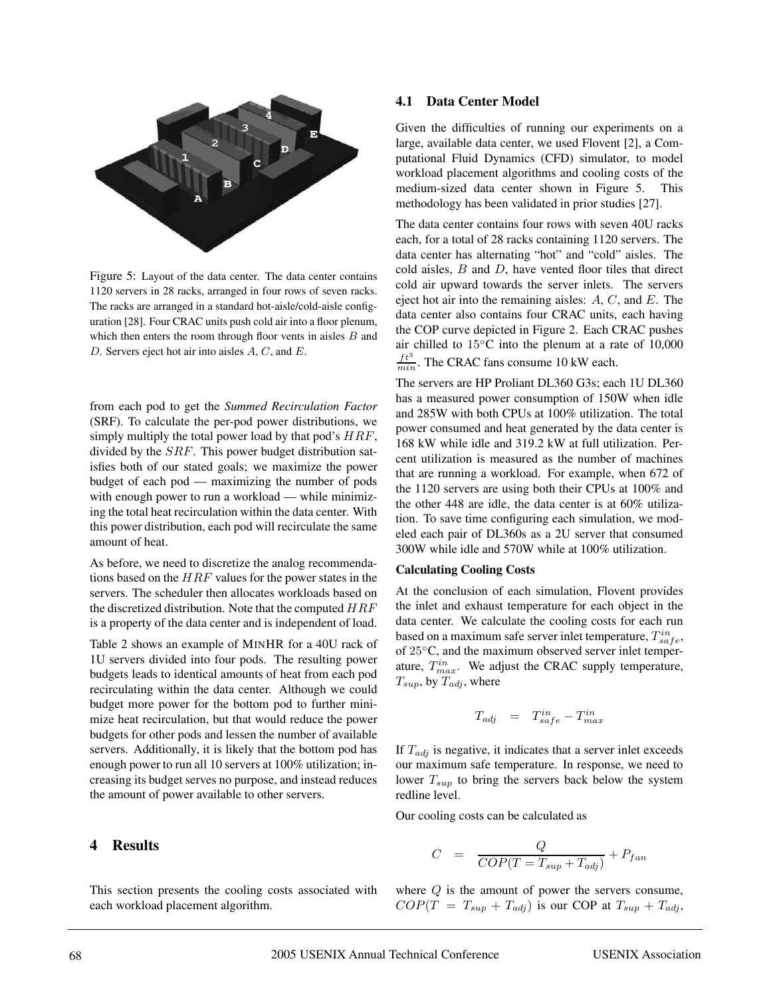

Figure 5: Layout of the data center. The data center contains 1120 servers in 28 racks, arranged in four rows of seven racks. The racks are arranged in a standard hot-aisle/cold-aisle configuration [28]. Four CRAC units push cold air into a floor plenum, which then enters the room through floor vents in aisles  $B$  and D. Servers eject hot air into aisles A, C, and E.

from each pod to get the *Summed Recirculation Factor* (SRF). To calculate the per-pod power distributions, we simply multiply the total power load by that pod's  $HRF$ , divided by the SRF. This power budget distribution satisfies both of our stated goals; we maximize the power budget of each pod — maximizing the number of pods with enough power to run a workload — while minimizing the total heat recirculation within the data center. With this power distribution, each pod will recirculate the same amount of heat.

As before, we need to discretize the analog recommendations based on the  $HRF$  values for the power states in the servers. The scheduler then allocates workloads based on the discretized distribution. Note that the computed  $HRF$ is a property of the data center and is independent of load.

Table 2 shows an example of MINHR for a 40U rack of 1U servers divided into four pods. The resulting power budgets leads to identical amounts of heat from each pod recirculating within the data center. Although we could budget more power for the bottom pod to further minimize heat recirculation, but that would reduce the power budgets for other pods and lessen the number of available servers. Additionally, it is likely that the bottom pod has enough power to run all 10 servers at 100% utilization; increasing its budget serves no purpose, and instead reduces the amount of power available to other servers.

### **4 Results**

This section presents the cooling costs associated with each workload placement algorithm.

# **4.1 Data Center Model**

Given the difficulties of running our experiments on a large, available data center, we used Flovent [2], a Computational Fluid Dynamics (CFD) simulator, to model workload placement algorithms and cooling costs of the medium-sized data center shown in Figure 5. This methodology has been validated in prior studies [27].

The data center contains four rows with seven 40U racks each, for a total of 28 racks containing 1120 servers. The data center has alternating "hot" and "cold" aisles. The cold aisles,  $B$  and  $D$ , have vented floor tiles that direct cold air upward towards the server inlets. The servers eject hot air into the remaining aisles:  $A, C$ , and  $E$ . The data center also contains four CRAC units, each having the COP curve depicted in Figure 2. Each CRAC pushes air chilled to 15◦C into the plenum at a rate of 10,000  $\frac{ft^3}{min}$ . The CRAC fans consume 10 kW each.

The servers are HP Proliant DL360 G3s; each 1U DL360 has a measured power consumption of 150W when idle and 285W with both CPUs at 100% utilization. The total power consumed and heat generated by the data center is 168 kW while idle and 319.2 kW at full utilization. Percent utilization is measured as the number of machines that are running a workload. For example, when 672 of the 1120 servers are using both their CPUs at 100% and the other 448 are idle, the data center is at 60% utilization. To save time configuring each simulation, we modeled each pair of DL360s as a 2U server that consumed 300W while idle and 570W while at 100% utilization.

#### **Calculating Cooling Costs**

At the conclusion of each simulation, Flovent provides the inlet and exhaust temperature for each object in the data center. We calculate the cooling costs for each run based on a maximum safe server inlet temperature,  $T_{safe}^{in}$ , of 25◦C, and the maximum observed server inlet temperature,  $T_{max}^{in}$ . We adjust the CRAC supply temperature,  $T_{sup}$ , by  $T_{adj}$ , where

$$
T_{adj} = T_{safe}^{in} - T_{max}^{in}
$$

If  $T_{adj}$  is negative, it indicates that a server inlet exceeds our maximum safe temperature. In response, we need to lower  $T_{sup}$  to bring the servers back below the system redline level.

Our cooling costs can be calculated as

$$
C = \frac{Q}{COP(T = T_{sup} + T_{adj})} + P_{fan}
$$

where  $Q$  is the amount of power the servers consume,  $COP(T = T_{sup} + T_{adj})$  is our COP at  $T_{sup} + T_{adj}$ ,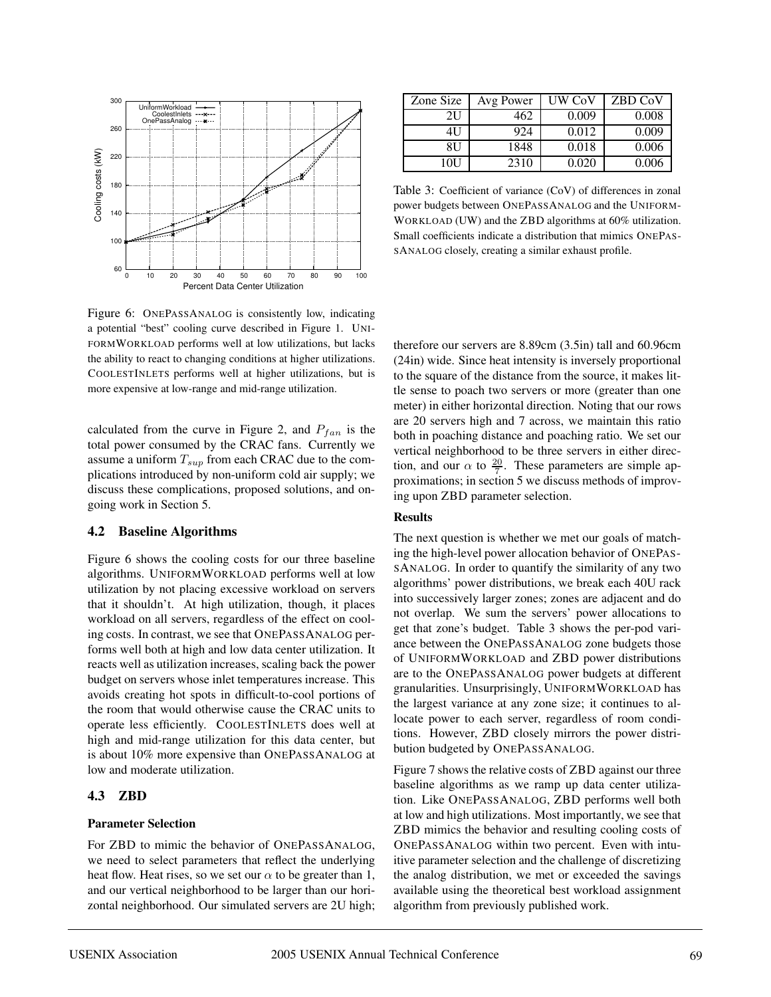

Figure 6: ONEPASSANALOG is consistently low, indicating a potential "best" cooling curve described in Figure 1. UNI-FORMWORKLOAD performs well at low utilizations, but lacks the ability to react to changing conditions at higher utilizations. COOLESTINLETS performs well at higher utilizations, but is more expensive at low-range and mid-range utilization.

calculated from the curve in Figure 2, and  $P_{fan}$  is the total power consumed by the CRAC fans. Currently we assume a uniform  $T_{sup}$  from each CRAC due to the complications introduced by non-uniform cold air supply; we discuss these complications, proposed solutions, and ongoing work in Section 5.

#### **4.2 Baseline Algorithms**

Figure 6 shows the cooling costs for our three baseline algorithms. UNIFORMWORKLOAD performs well at low utilization by not placing excessive workload on servers that it shouldn't. At high utilization, though, it places workload on all servers, regardless of the effect on cooling costs. In contrast, we see that ONEPASSANALOG performs well both at high and low data center utilization. It reacts well as utilization increases, scaling back the power budget on servers whose inlet temperatures increase. This avoids creating hot spots in difficult-to-cool portions of the room that would otherwise cause the CRAC units to operate less efficiently. COOLESTINLETS does well at high and mid-range utilization for this data center, but is about 10% more expensive than ONEPASSANALOG at low and moderate utilization.

#### **4.3 ZBD**

#### **Parameter Selection**

For ZBD to mimic the behavior of ONEPASSANALOG, we need to select parameters that reflect the underlying heat flow. Heat rises, so we set our  $\alpha$  to be greater than 1, and our vertical neighborhood to be larger than our horizontal neighborhood. Our simulated servers are 2U high;

| Zone Size | Avg Power | <b>UW CoV</b> | ZBD CoV |
|-----------|-----------|---------------|---------|
| 2U        | 462       | 0.009         | 0.008   |
| 4U        | 924       | 0.012         | 0.009   |
| 8U        | 1848      | 0.018         | 0.006   |
| 10H       | 2310      | 0.020         | 0.006   |

Table 3: Coefficient of variance (CoV) of differences in zonal power budgets between ONEPASSANALOG and the UNIFORM-WORKLOAD (UW) and the ZBD algorithms at 60% utilization. Small coefficients indicate a distribution that mimics ONEPAS-SANALOG closely, creating a similar exhaust profile.

therefore our servers are 8.89cm (3.5in) tall and 60.96cm (24in) wide. Since heat intensity is inversely proportional to the square of the distance from the source, it makes little sense to poach two servers or more (greater than one meter) in either horizontal direction. Noting that our rows are 20 servers high and 7 across, we maintain this ratio both in poaching distance and poaching ratio. We set our vertical neighborhood to be three servers in either direction, and our  $\alpha$  to  $\frac{20}{7}$ . These parameters are simple approximations; in section 5 we discuss methods of improving upon ZBD parameter selection.

### **Results**

The next question is whether we met our goals of matching the high-level power allocation behavior of ONEPAS-SANALOG. In order to quantify the similarity of any two algorithms' power distributions, we break each 40U rack into successively larger zones; zones are adjacent and do not overlap. We sum the servers' power allocations to get that zone's budget. Table 3 shows the per-pod variance between the ONEPASSANALOG zone budgets those of UNIFORMWORKLOAD and ZBD power distributions are to the ONEPASSANALOG power budgets at different granularities. Unsurprisingly, UNIFORMWORKLOAD has the largest variance at any zone size; it continues to allocate power to each server, regardless of room conditions. However, ZBD closely mirrors the power distribution budgeted by ONEPASSANALOG.

Figure 7 shows the relative costs of ZBD against our three baseline algorithms as we ramp up data center utilization. Like ONEPASSANALOG, ZBD performs well both at low and high utilizations. Most importantly, we see that ZBD mimics the behavior and resulting cooling costs of ONEPASSANALOG within two percent. Even with intuitive parameter selection and the challenge of discretizing the analog distribution, we met or exceeded the savings available using the theoretical best workload assignment algorithm from previously published work.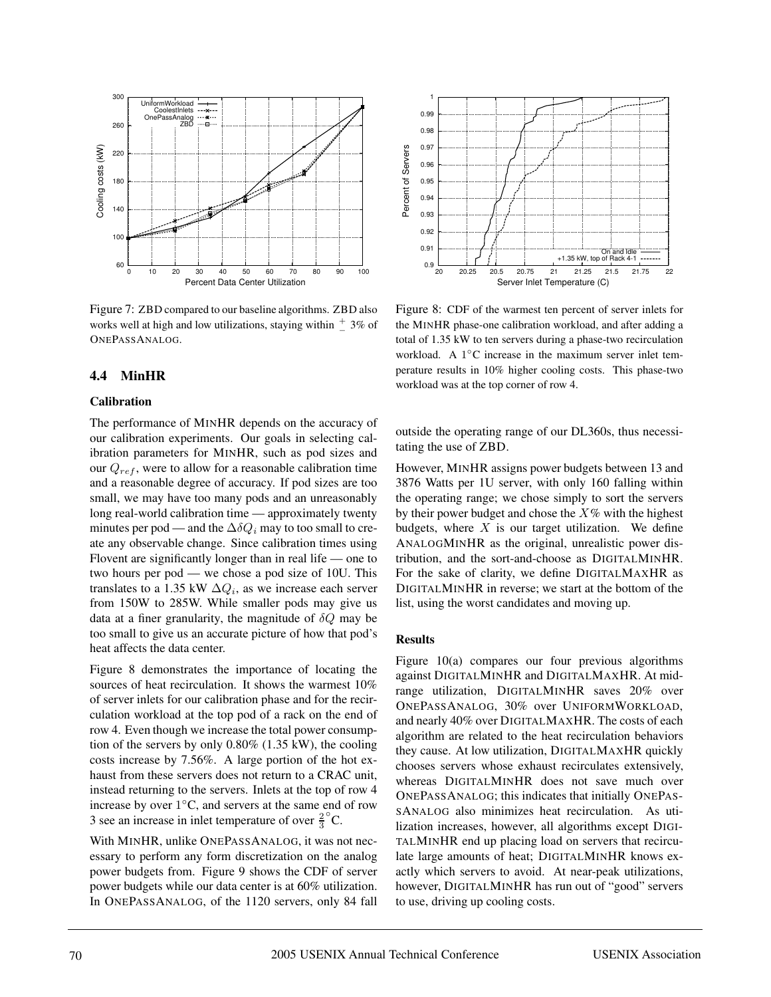

Figure 7: ZBD compared to our baseline algorithms. ZBD also works well at high and low utilizations, staying within  $\frac{+}{-}$  3% of ONEPASSANALOG.

### **4.4 MinHR**

#### **Calibration**

The performance of MINHR depends on the accuracy of our calibration experiments. Our goals in selecting calibration parameters for MINHR, such as pod sizes and our  $Q_{ref}$ , were to allow for a reasonable calibration time and a reasonable degree of accuracy. If pod sizes are too small, we may have too many pods and an unreasonably long real-world calibration time — approximately twenty minutes per pod — and the  $\Delta \delta Q_i$  may to too small to create any observable change. Since calibration times using Flovent are significantly longer than in real life — one to two hours per pod — we chose a pod size of 10U. This translates to a 1.35 kW  $\Delta Q_i$ , as we increase each server from 150W to 285W. While smaller pods may give us data at a finer granularity, the magnitude of  $\delta Q$  may be too small to give us an accurate picture of how that pod's heat affects the data center.

Figure 8 demonstrates the importance of locating the sources of heat recirculation. It shows the warmest 10% of server inlets for our calibration phase and for the recirculation workload at the top pod of a rack on the end of row 4. Even though we increase the total power consumption of the servers by only 0.80% (1.35 kW), the cooling costs increase by 7.56%. A large portion of the hot exhaust from these servers does not return to a CRAC unit, instead returning to the servers. Inlets at the top of row 4 increase by over 1◦C, and servers at the same end of row 3 see an increase in inlet temperature of over  $\frac{2}{3}$  $^{\circ}$ C.

With MINHR, unlike ONEPASSANALOG, it was not necessary to perform any form discretization on the analog power budgets from. Figure 9 shows the CDF of server power budgets while our data center is at 60% utilization. In ONEPASSANALOG, of the 1120 servers, only 84 fall



Figure 8: CDF of the warmest ten percent of server inlets for the MINHR phase-one calibration workload, and after adding a total of 1.35 kW to ten servers during a phase-two recirculation workload. A 1◦C increase in the maximum server inlet temperature results in 10% higher cooling costs. This phase-two workload was at the top corner of row 4.

outside the operating range of our DL360s, thus necessitating the use of ZBD.

However, MINHR assigns power budgets between 13 and 3876 Watts per 1U server, with only 160 falling within the operating range; we chose simply to sort the servers by their power budget and chose the  $X\%$  with the highest budgets, where  $X$  is our target utilization. We define ANALOGMINHR as the original, unrealistic power distribution, and the sort-and-choose as DIGITALMINHR. For the sake of clarity, we define DIGITALMAXHR as DIGITALMINHR in reverse; we start at the bottom of the list, using the worst candidates and moving up.

#### **Results**

Figure 10(a) compares our four previous algorithms against DIGITALMINHR and DIGITALMAXHR. At midrange utilization, DIGITALMINHR saves 20% over ONEPASSANALOG, 30% over UNIFORMWORKLOAD, and nearly 40% over DIGITALMAXHR. The costs of each algorithm are related to the heat recirculation behaviors they cause. At low utilization, DIGITALMAXHR quickly chooses servers whose exhaust recirculates extensively, whereas DIGITALMINHR does not save much over ONEPASSANALOG; this indicates that initially ONEPAS-SANALOG also minimizes heat recirculation. As utilization increases, however, all algorithms except DIGI-TALMINHR end up placing load on servers that recirculate large amounts of heat; DIGITALMINHR knows exactly which servers to avoid. At near-peak utilizations, however, DIGITALMINHR has run out of "good" servers to use, driving up cooling costs.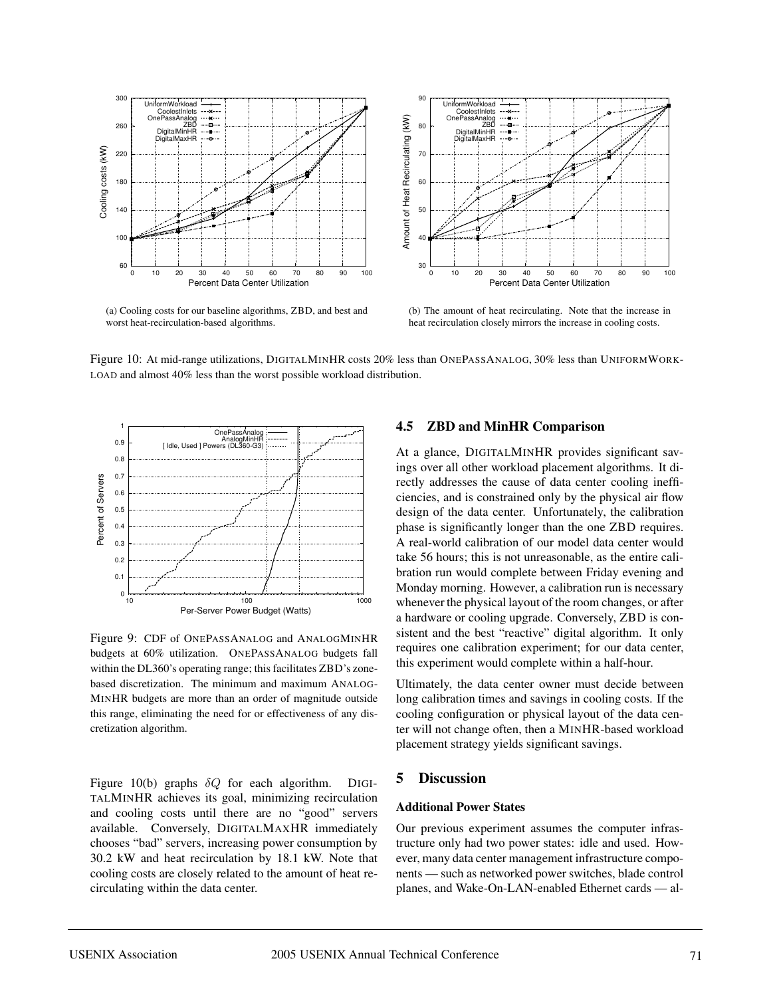

(a) Cooling costs for our baseline algorithms, ZBD, and best and worst heat-recirculation-based algorithms.



(b) The amount of heat recirculating. Note that the increase in heat recirculation closely mirrors the increase in cooling costs.

Figure 10: At mid-range utilizations, DIGITALMINHR costs 20% less than ONEPASSANALOG, 30% less than UNIFORMWORK-LOAD and almost 40% less than the worst possible workload distribution.



Figure 9: CDF of ONEPASSANALOG and ANALOGMINHR budgets at 60% utilization. ONEPASSANALOG budgets fall within the DL360's operating range; this facilitates ZBD's zonebased discretization. The minimum and maximum ANALOG-MINHR budgets are more than an order of magnitude outside this range, eliminating the need for or effectiveness of any discretization algorithm.

Figure 10(b) graphs  $\delta Q$  for each algorithm. DIGI-TALMINHR achieves its goal, minimizing recirculation and cooling costs until there are no "good" servers available. Conversely, DIGITALMAXHR immediately chooses "bad" servers, increasing power consumption by 30.2 kW and heat recirculation by 18.1 kW. Note that cooling costs are closely related to the amount of heat recirculating within the data center.

# **4.5 ZBD and MinHR Comparison**

At a glance, DIGITALMINHR provides significant savings over all other workload placement algorithms. It directly addresses the cause of data center cooling inefficiencies, and is constrained only by the physical air flow design of the data center. Unfortunately, the calibration phase is significantly longer than the one ZBD requires. A real-world calibration of our model data center would take 56 hours; this is not unreasonable, as the entire calibration run would complete between Friday evening and Monday morning. However, a calibration run is necessary whenever the physical layout of the room changes, or after a hardware or cooling upgrade. Conversely, ZBD is consistent and the best "reactive" digital algorithm. It only requires one calibration experiment; for our data center, this experiment would complete within a half-hour.

Ultimately, the data center owner must decide between long calibration times and savings in cooling costs. If the cooling configuration or physical layout of the data center will not change often, then a MINHR-based workload placement strategy yields significant savings.

# **5 Discussion**

#### **Additional Power States**

Our previous experiment assumes the computer infrastructure only had two power states: idle and used. However, many data center management infrastructure components — such as networked power switches, blade control planes, and Wake-On-LAN-enabled Ethernet cards — al-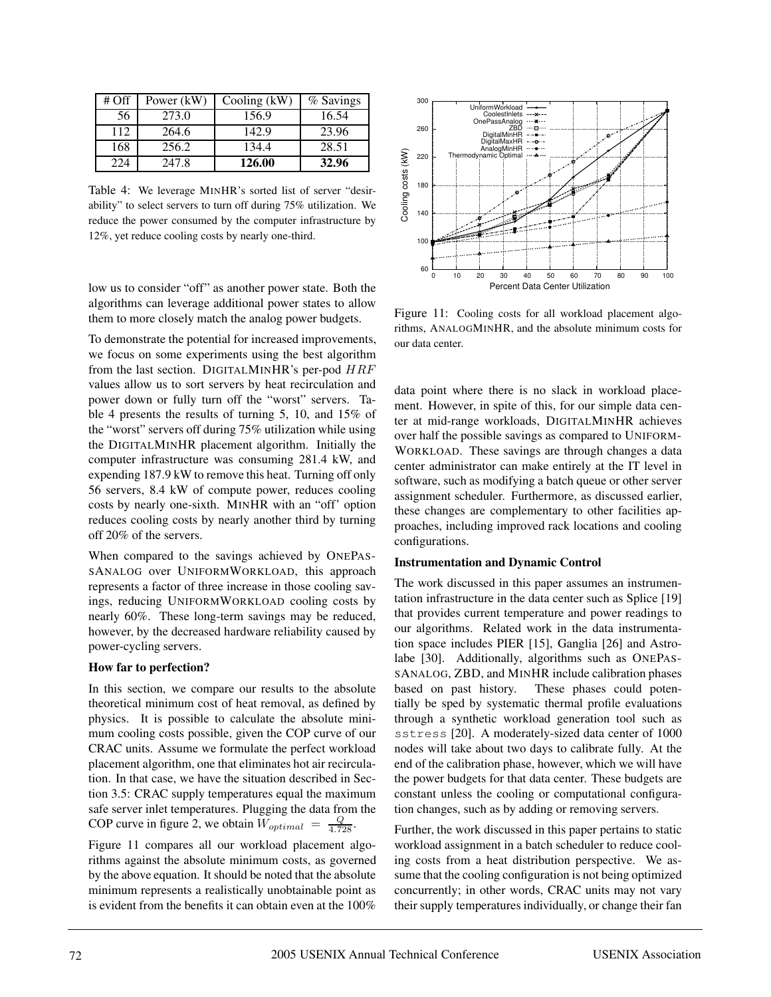| $#$ Off | Power (kW) | Cooling $(kW)$ | % Savings |
|---------|------------|----------------|-----------|
| 56      | 273.0      | 156.9          | 16.54     |
| 112     | 264.6      | 142.9          | 23.96     |
| 168     | 256.2      | 134.4          | 28.51     |
| 224     | 247.8      | 126.00         | 32.96     |

Table 4: We leverage MINHR's sorted list of server "desirability" to select servers to turn off during 75% utilization. We reduce the power consumed by the computer infrastructure by 12%, yet reduce cooling costs by nearly one-third.

low us to consider "off" as another power state. Both the algorithms can leverage additional power states to allow them to more closely match the analog power budgets.

To demonstrate the potential for increased improvements, we focus on some experiments using the best algorithm from the last section. DIGITALMINHR's per-pod  $HRF$ values allow us to sort servers by heat recirculation and power down or fully turn off the "worst" servers. Table 4 presents the results of turning 5, 10, and 15% of the "worst" servers off during 75% utilization while using the DIGITALMINHR placement algorithm. Initially the computer infrastructure was consuming 281.4 kW, and expending 187.9 kW to remove this heat. Turning off only 56 servers, 8.4 kW of compute power, reduces cooling costs by nearly one-sixth. MINHR with an "off' option reduces cooling costs by nearly another third by turning off 20% of the servers.

When compared to the savings achieved by ONEPAS-SANALOG over UNIFORMWORKLOAD, this approach represents a factor of three increase in those cooling savings, reducing UNIFORMWORKLOAD cooling costs by nearly 60%. These long-term savings may be reduced, however, by the decreased hardware reliability caused by power-cycling servers.

#### **How far to perfection?**

In this section, we compare our results to the absolute theoretical minimum cost of heat removal, as defined by physics. It is possible to calculate the absolute minimum cooling costs possible, given the COP curve of our CRAC units. Assume we formulate the perfect workload placement algorithm, one that eliminates hot air recirculation. In that case, we have the situation described in Section 3.5: CRAC supply temperatures equal the maximum safe server inlet temperatures. Plugging the data from the COP curve in figure 2, we obtain  $W_{optimal} = \frac{Q}{4.728}$ .

Figure 11 compares all our workload placement algorithms against the absolute minimum costs, as governed by the above equation. It should be noted that the absolute minimum represents a realistically unobtainable point as is evident from the benefits it can obtain even at the 100%



Figure 11: Cooling costs for all workload placement algorithms, ANALOGMINHR, and the absolute minimum costs for our data center.

data point where there is no slack in workload placement. However, in spite of this, for our simple data center at mid-range workloads, DIGITALMINHR achieves over half the possible savings as compared to UNIFORM-WORKLOAD. These savings are through changes a data center administrator can make entirely at the IT level in software, such as modifying a batch queue or other server assignment scheduler. Furthermore, as discussed earlier, these changes are complementary to other facilities approaches, including improved rack locations and cooling configurations.

#### **Instrumentation and Dynamic Control**

The work discussed in this paper assumes an instrumentation infrastructure in the data center such as Splice [19] that provides current temperature and power readings to our algorithms. Related work in the data instrumentation space includes PIER [15], Ganglia [26] and Astrolabe [30]. Additionally, algorithms such as ONEPAS-SANALOG, ZBD, and MINHR include calibration phases based on past history. These phases could potentially be sped by systematic thermal profile evaluations through a synthetic workload generation tool such as sstress [20]. A moderately-sized data center of 1000 nodes will take about two days to calibrate fully. At the end of the calibration phase, however, which we will have the power budgets for that data center. These budgets are constant unless the cooling or computational configuration changes, such as by adding or removing servers.

Further, the work discussed in this paper pertains to static workload assignment in a batch scheduler to reduce cooling costs from a heat distribution perspective. We assume that the cooling configuration is not being optimized concurrently; in other words, CRAC units may not vary their supply temperatures individually, or change their fan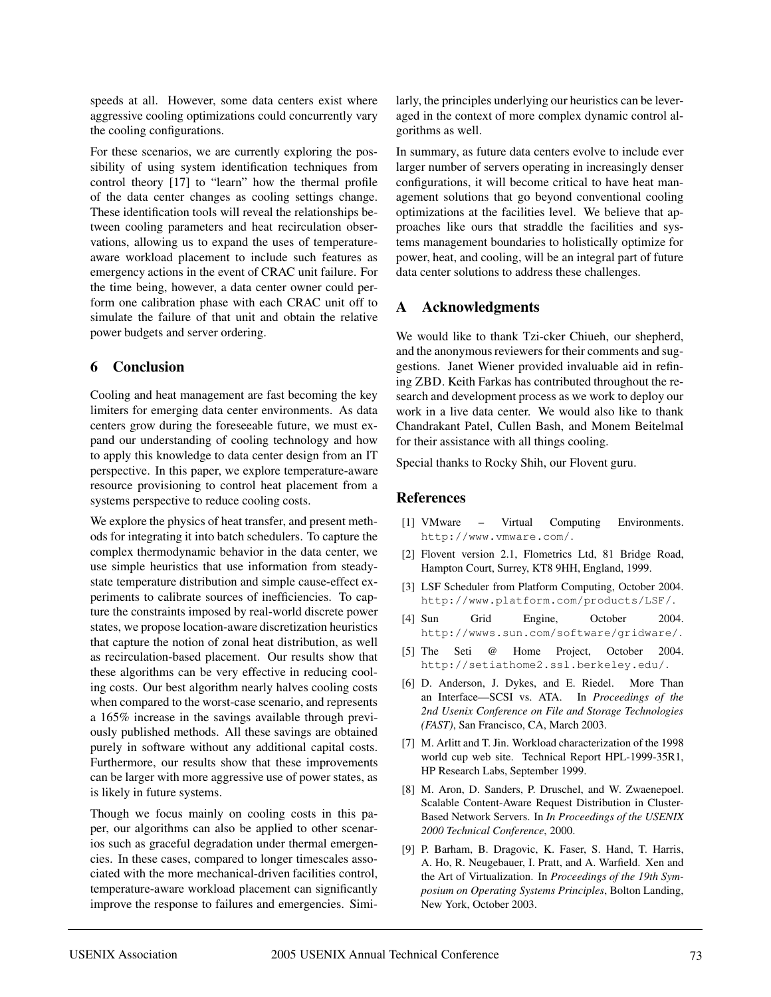speeds at all. However, some data centers exist where aggressive cooling optimizations could concurrently vary the cooling configurations.

For these scenarios, we are currently exploring the possibility of using system identification techniques from control theory [17] to "learn" how the thermal profile of the data center changes as cooling settings change. These identification tools will reveal the relationships between cooling parameters and heat recirculation observations, allowing us to expand the uses of temperatureaware workload placement to include such features as emergency actions in the event of CRAC unit failure. For the time being, however, a data center owner could perform one calibration phase with each CRAC unit off to simulate the failure of that unit and obtain the relative power budgets and server ordering.

# **6 Conclusion**

Cooling and heat management are fast becoming the key limiters for emerging data center environments. As data centers grow during the foreseeable future, we must expand our understanding of cooling technology and how to apply this knowledge to data center design from an IT perspective. In this paper, we explore temperature-aware resource provisioning to control heat placement from a systems perspective to reduce cooling costs.

We explore the physics of heat transfer, and present methods for integrating it into batch schedulers. To capture the complex thermodynamic behavior in the data center, we use simple heuristics that use information from steadystate temperature distribution and simple cause-effect experiments to calibrate sources of inefficiencies. To capture the constraints imposed by real-world discrete power states, we propose location-aware discretization heuristics that capture the notion of zonal heat distribution, as well as recirculation-based placement. Our results show that these algorithms can be very effective in reducing cooling costs. Our best algorithm nearly halves cooling costs when compared to the worst-case scenario, and represents a 165% increase in the savings available through previously published methods. All these savings are obtained purely in software without any additional capital costs. Furthermore, our results show that these improvements can be larger with more aggressive use of power states, as is likely in future systems.

Though we focus mainly on cooling costs in this paper, our algorithms can also be applied to other scenarios such as graceful degradation under thermal emergencies. In these cases, compared to longer timescales associated with the more mechanical-driven facilities control, temperature-aware workload placement can significantly improve the response to failures and emergencies. Similarly, the principles underlying our heuristics can be leveraged in the context of more complex dynamic control algorithms as well.

In summary, as future data centers evolve to include ever larger number of servers operating in increasingly denser configurations, it will become critical to have heat management solutions that go beyond conventional cooling optimizations at the facilities level. We believe that approaches like ours that straddle the facilities and systems management boundaries to holistically optimize for power, heat, and cooling, will be an integral part of future data center solutions to address these challenges.

# **A Acknowledgments**

We would like to thank Tzi-cker Chiueh, our shepherd, and the anonymous reviewers for their comments and suggestions. Janet Wiener provided invaluable aid in refining ZBD. Keith Farkas has contributed throughout the research and development process as we work to deploy our work in a live data center. We would also like to thank Chandrakant Patel, Cullen Bash, and Monem Beitelmal for their assistance with all things cooling.

Special thanks to Rocky Shih, our Flovent guru.

# **References**

- [1] VMware Virtual Computing Environments. http://www.vmware.com/.
- [2] Flovent version 2.1, Flometrics Ltd, 81 Bridge Road, Hampton Court, Surrey, KT8 9HH, England, 1999.
- [3] LSF Scheduler from Platform Computing, October 2004. http://www.platform.com/products/LSF/.
- [4] Sun Grid Engine, October 2004. http://wwws.sun.com/software/gridware/.
- [5] The Seti @ Home Project, October 2004. http://setiathome2.ssl.berkeley.edu/.
- [6] D. Anderson, J. Dykes, and E. Riedel. More Than an Interface—SCSI vs. ATA. In *Proceedings of the 2nd Usenix Conference on File and Storage Technologies (FAST)*, San Francisco, CA, March 2003.
- [7] M. Arlitt and T. Jin. Workload characterization of the 1998 world cup web site. Technical Report HPL-1999-35R1, HP Research Labs, September 1999.
- [8] M. Aron, D. Sanders, P. Druschel, and W. Zwaenepoel. Scalable Content-Aware Request Distribution in Cluster-Based Network Servers. In *In Proceedings of the USENIX 2000 Technical Conference*, 2000.
- [9] P. Barham, B. Dragovic, K. Faser, S. Hand, T. Harris, A. Ho, R. Neugebauer, I. Pratt, and A. Warfield. Xen and the Art of Virtualization. In *Proceedings of the 19th Symposium on Operating Systems Principles*, Bolton Landing, New York, October 2003.